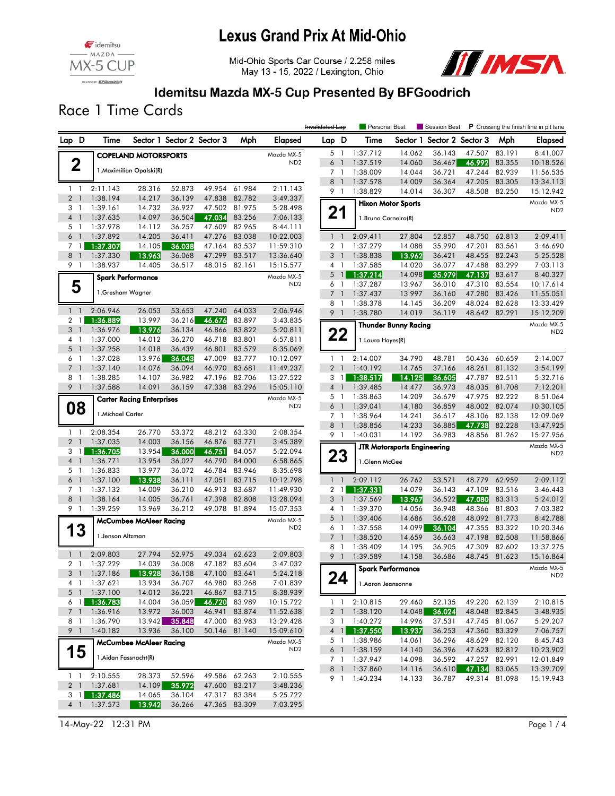



Mid-Ohio Sports Car Course / 2.258 miles May 13 - 15, 2022 / Lexington, Ohio



#### Idemitsu Mazda MX-5 Cup Presented By BFGoodrich

Race 1 Time Cards

|                                  |                            |                                  |                  |                            |                  |                      | Invalidated Lap |                | Personal Best        |                                    | Session Best               |                         |               | <b>P</b> Crossing the finish line in pit lane |
|----------------------------------|----------------------------|----------------------------------|------------------|----------------------------|------------------|----------------------|-----------------|----------------|----------------------|------------------------------------|----------------------------|-------------------------|---------------|-----------------------------------------------|
| Lap D                            | Time                       |                                  |                  | Sector 1 Sector 2 Sector 3 | Mph              | Elapsed              | Lap D           |                | Time                 |                                    | Sector 1 Sector 2 Sector 3 |                         | Mph           | Elapsed                                       |
|                                  |                            | <b>COPELAND MOTORSPORTS</b>      |                  |                            |                  | Mazda MX-5           |                 | 5 <sub>1</sub> | 1:37.712             | 14.062                             | 36.143                     | 47.507                  | 83.191        | 8:41.007                                      |
| $\mathbf 2$                      |                            |                                  |                  |                            |                  | ND <sub>2</sub>      | 6               | $\overline{1}$ | 1:37.519             | 14.060                             | 36.467                     | 46.992                  | 83.355        | 10:18.526                                     |
|                                  |                            | 1. Maximilian Opalski(R)         |                  |                            |                  |                      | 7 <sub>1</sub>  |                | 1:38.009             | 14.044                             | 36.721                     | 47.244                  | 82.939        | 11:56.535                                     |
|                                  |                            |                                  |                  |                            |                  |                      | 8               | $\overline{1}$ | 1:37.578             | 14.009                             | 36.364                     | 47.205                  | 83.305        | 13:34.113                                     |
| $1\quad$                         | 2:11.143                   | 28.316                           | 52.873           | 49.954                     | 61.984           | 2:11.143             |                 | 9 1            | 1:38.829             | 14.014                             | 36.307                     | 48.508                  | 82.250        | 15:12.942                                     |
| 2 <sub>1</sub>                   | 1:38.194                   | 14.217                           | 36.139           | 47.838                     | 82.782           | 3:49.337             |                 |                |                      | <b>Hixon Motor Sports</b>          |                            |                         |               | Mazda MX-5                                    |
| 3 1                              | 1:39.161                   | 14.732                           | 36.927           | 47.502                     | 81.975           | 5:28.498             | 21              |                |                      |                                    |                            |                         |               | ND <sub>2</sub>                               |
| 4 <sup>1</sup><br>5 <sub>1</sub> | 1:37.635<br>1:37.978       | 14.097<br>14.112                 | 36.504<br>36.257 | 47.034<br>47.609           | 83.256<br>82.965 | 7:06.133<br>8:44.111 |                 |                | 1. Bruno Carneiro(R) |                                    |                            |                         |               |                                               |
| 6 <sup>1</sup>                   | 1:37.892                   | 14.205                           | 36.411           | 47.276                     | 83.038           | 10:22.003            | $1\quad$        |                | 2:09.411             | 27.804                             | 52.857                     | 48.750                  | 62.813        | 2:09.411                                      |
|                                  | 7 1 1:37.307               | 14.105                           | 36.038           | 47.164                     | 83.537           | 11:59.310            | 2 <sub>1</sub>  |                | 1:37.279             | 14.088                             | 35.990                     | 47.201                  | 83.561        | 3:46.690                                      |
| 8 <sup>1</sup>                   | 1:37.330                   | 13.963                           | 36.068           | 47.299                     | 83.517           | 13:36.640            | 3 <sup>1</sup>  |                | 1:38.838             | 13.962                             | 36.421                     | 48.455                  | 82.243        | 5:25.528                                      |
| 9 1                              | 1:38.937                   | 14.405                           | 36.517           | 48.015                     | 82.161           | 15:15.577            | $4-1$           |                | 1:37.585             | 14.020                             | 36.077                     | 47.488                  | 83.299        | 7:03.113                                      |
|                                  | <b>Spark Performance</b>   |                                  |                  |                            |                  | Mazda MX-5           |                 | 5 <sup>1</sup> | 1:37.214             | 14.098                             | 35.979                     | 47.137                  | 83.617        | 8:40.327                                      |
| 5                                |                            |                                  |                  |                            |                  | ND <sub>2</sub>      | 6               | $\overline{1}$ | 1:37.287             | 13.967                             | 36.010                     | 47.310                  | 83.554        | 10:17.614                                     |
|                                  | 1.Gresham Wagner           |                                  |                  |                            |                  |                      | $7-1$           |                | 1:37.437             | 13.997                             | 36.160                     | 47.280                  | 83.426        | 11:55.051                                     |
|                                  |                            |                                  |                  |                            |                  |                      | 8               | $\mathbf{1}$   | 1:38.378             | 14.145                             | 36.209                     | 48.024                  | 82.628        | 13:33.429                                     |
| $1\quad$                         | 2:06.946                   | 26.053                           | 53.653           | 47.240                     | 64.033           | 2:06.946             | 9 1             |                | 1:38.780             | 14.019                             | 36.119                     | 48.642 82.291           |               | 15:12.209                                     |
| $2 \mid 1 \mid$                  | 1:36.889                   | 13.997                           | 36.216           | 46.676                     | 83.897           | 3:43.835             |                 |                |                      | <b>Thunder Bunny Racing</b>        |                            |                         |               | Mazda MX-5                                    |
| 3 <sup>1</sup><br>4 1            | 1:36.976<br>1:37.000       | 13.976<br>14.012                 | 36.134<br>36.270 | 46.866<br>46.718           | 83.822<br>83.801 | 5:20.811<br>6:57.811 |                 | 22             |                      |                                    |                            |                         |               | ND <sub>2</sub>                               |
| $5-1$                            | 1:37.258                   | 14.018                           | 36.439           | 46.801                     | 83.579           | 8:35.069             |                 |                | 1. Laura Hayes(R)    |                                    |                            |                         |               |                                               |
| 6 1                              | 1:37.028                   | 13.976                           | 36.043           | 47.009                     | 83.777           | 10:12.097            |                 | $1\quad$       | 2:14.007             | 34.790                             | 48.781                     | 50.436                  | 60.659        | 2:14.007                                      |
| 7 <sup>1</sup>                   | 1:37.140                   | 14.076                           | 36.094           | 46.970                     | 83.681           | 11:49.237            | 2 <sub>1</sub>  |                | 1:40.192             | 14.765                             | 37.166                     | 48.261                  | 81.132        | 3:54.199                                      |
| 8 1                              | 1:38.285                   | 14.107                           | 36.982           | 47.196                     | 82.706           | 13:27.522            | 3 <sub>1</sub>  |                | 1:38.517             | 14.125                             | 36.605                     | 47.787                  | 82.511        | 5:32.716                                      |
| 9 1                              | 1:37.588                   | 14.091                           | 36.159           | 47.338                     | 83.296           | 15:05.110            | 4 <sup>1</sup>  |                | 1:39.485             | 14.477                             | 36.973                     | 48.035                  | 81.708        | 7:12.201                                      |
|                                  |                            | <b>Carter Racing Enterprises</b> |                  |                            |                  | Mazda MX-5           | 5 <sub>1</sub>  |                | 1:38.863             | 14.209                             | 36.679                     |                         | 47.975 82.222 | 8:51.064                                      |
| 08                               |                            |                                  |                  |                            |                  | ND <sub>2</sub>      | 6 <sup>1</sup>  |                | 1:39.041             | 14.180                             | 36.859                     | 48.002                  | 82.074        | 10:30.105                                     |
|                                  | 1. Michael Carter          |                                  |                  |                            |                  |                      | 7 <sub>1</sub>  |                | 1:38.964             | 14.241                             | 36.617                     | 48.106                  | 82.138        | 12:09.069                                     |
|                                  |                            |                                  |                  |                            |                  |                      | 8 <sup>1</sup>  |                | 1:38.856             | 14.233                             | 36.885                     | 47.738                  | 82.228        | 13:47.925                                     |
| $1\quad$<br>2 <sub>1</sub>       | 2:08.354<br>1:37.035       | 26.770<br>14.003                 | 53.372<br>36.156 | 48.212<br>46.876           | 63.330<br>83.771 | 2:08.354<br>3:45.389 | 9 1             |                | 1:40.031             | 14.192                             | 36.983                     | 48.856                  | 81.262        | 15:27.956                                     |
| $3 \mid$                         | 1:36.705                   | 13.954                           | 36.000           | 46.751                     | 84.057           | 5:22.094             |                 |                |                      | <b>JTR Motorsports Engineering</b> |                            |                         |               | Mazda MX-5                                    |
| 4 <sup>1</sup>                   | 1:36.771                   | 13.954                           | 36.027           | 46.790                     | 84.000           | 6:58.865             |                 | 23             | 1.Glenn McGee        |                                    |                            |                         |               | ND <sub>2</sub>                               |
| 5 <sub>1</sub>                   | 1:36.833                   | 13.977                           | 36.072           | 46.784                     | 83.946           | 8:35.698             |                 |                |                      |                                    |                            |                         |               |                                               |
| $6-1$                            | 1:37.100                   | 13.938                           | 36.111           | 47.051                     | 83.715           | 10:12.798            |                 | $1\quad$       | 2:09.112             | 26.762                             | 53.571                     | 48.779                  | 62.959        | 2:09.112                                      |
| 7 1                              | 1:37.132                   | 14.009                           | 36.210           | 46.913                     | 83.687           | 11:49.930            |                 | 2 <sub>1</sub> | 1:37.331             | 14.079                             | 36.143                     | 47.109                  | 83.516        | 3:46.443                                      |
| 8 <sup>1</sup>                   | 1:38.164                   | 14.005                           | 36.761           | 47.398                     | 82.808           | 13:28.094            | 3 <sup>1</sup>  |                | 1:37.569             | 13.967                             | 36.522                     | 47.080                  | 83.313        | 5:24.012                                      |
| 9 1                              | 1:39.259                   | 13.969                           | 36.212           | 49.078                     | 81.894           | 15:07.353            | $4-1$           |                | 1:39.370             | 14.056                             | 36.948                     | 48.366                  | 81.803        | 7:03.382                                      |
|                                  |                            | <b>McCumbee McAleer Racing</b>   |                  |                            |                  | Mazda MX-5           | 5 <sub>1</sub>  |                | 1:39.406             | 14.686                             | 36.628                     | 48.092                  | 81.773        | 8:42.788                                      |
| 13                               |                            |                                  |                  |                            |                  | ND <sub>2</sub>      | 6 1             |                | 1:37.558             | 14.099                             | 36.104                     | 47.355                  | 83.322        | 10:20.346                                     |
|                                  | 1. Jenson Altzman          |                                  |                  |                            |                  |                      | $7-1$           |                | 1:38.520             | 14.659                             | 36.663                     | 47.198                  | 82.508        | 11:58.866                                     |
| $1\quad$                         | 2:09.803                   | 27.794                           | 52.975           | 49.034                     | 62.623           | 2:09.803             | 8 1             |                | 1:38.409             | 14.195                             | 36.905                     | 47.309                  | 82.602        | 13:37.275                                     |
| 2 <sub>1</sub>                   | 1:37.229                   | 14.039                           | 36.008           |                            | 47.182 83.604    | 3:47.032             | 9 <sub>1</sub>  |                | 1:39.589             | 14.158                             | 36.686                     | 48.745                  | 81.623        | 15:16.864                                     |
|                                  | 3 1 1:37.186               | 13.928                           | 36.158           | 47.100 83.641              |                  | 5:24.218             |                 |                |                      | <b>Spark Performance</b>           |                            |                         |               | Mazda MX-5<br>ND <sub>Z</sub>                 |
|                                  | 4 1 1:37.621               | 13.934                           | 36.707           |                            | 46.980 83.268    | 7:01.839             |                 | 24             | 1.Aaron Jeansonne    |                                    |                            |                         |               |                                               |
|                                  | 5 1 1:37.100               | 14.012                           | 36.221           | 46.867                     | 83.715           | 8:38.939             |                 |                |                      |                                    |                            |                         |               |                                               |
|                                  | $6 \quad 1 \quad 1:36.783$ | 14.004                           | 36.059           |                            | 46.720 83.989    | 10:15.722            |                 | $1\quad1$      | 2:10.815             | 29.460                             | 52.135                     |                         | 49.220 62.139 | 2:10.815                                      |
|                                  | 7 1 1:36.916               | 13.972                           | 36.003           | 46.941                     | 83.874           | 11:52.638            |                 | 2 <sub>1</sub> | 1:38.120             | 14.048                             | 36.024                     |                         | 48.048 82.845 | 3:48.935                                      |
| 81                               | 1:36.790                   | 13.942                           | 35.848           |                            | 47.000 83.983    | 13:29.428            |                 | $3-1$          | 1:40.272             | 14.996                             | 37.531                     |                         | 47.745 81.067 | 5:29.207                                      |
| 9 1                              | 1:40.182                   | 13.936                           | 36.100           |                            | 50.146 81.140    | 15:09.610            |                 |                | 4 1 1:37.550         | 13.937                             | 36.253                     |                         | 47.360 83.329 | 7:06.757                                      |
|                                  |                            | <b>McCumbee McAleer Racing</b>   |                  |                            |                  | Mazda MX-5           |                 | 5 1            | 1:38.986             | 14.061                             | 36.296                     |                         | 48.629 82.120 | 8:45.743                                      |
| 15                               | 1.Aidan Fassnacht(R)       |                                  |                  |                            |                  | ND <sub>2</sub>      |                 | 6 1            | 1:38.159             | 14.140                             | 36.396                     |                         | 47.623 82.812 | 10:23.902                                     |
|                                  |                            |                                  |                  |                            |                  |                      |                 | 7 1<br>8 1     | 1:37.947<br>1:37.860 | 14.098<br>14.116                   | 36.592                     | 47.257<br>47.134 83.065 | 82.991        | 12:01.849<br>13:39.709                        |
| $1\quad1$                        | 2:10.555                   | 28.373                           | 52.596           |                            | 49.586 62.263    | 2:10.555             |                 | 9 1            | 1:40.234             | 14.133                             | 36.610<br>36.787           |                         | 49.314 81.098 | 15:19.943                                     |
|                                  | 2 1 1:37.681               | 14.109                           | 35.972           |                            | 47.600 83.217    | 3:48.236             |                 |                |                      |                                    |                            |                         |               |                                               |
|                                  | 3 1 1:37.486               | 14.065                           | 36.104           |                            | 47.317 83.384    | 5:25.722             |                 |                |                      |                                    |                            |                         |               |                                               |
|                                  | 4 1 1:37.573               | 13.942                           | 36.266           |                            | 47.365 83.309    | 7:03.295             |                 |                |                      |                                    |                            |                         |               |                                               |
|                                  |                            |                                  |                  |                            |                  |                      |                 |                |                      |                                    |                            |                         |               |                                               |

14-May-22 12:31 PM Page 1 / 4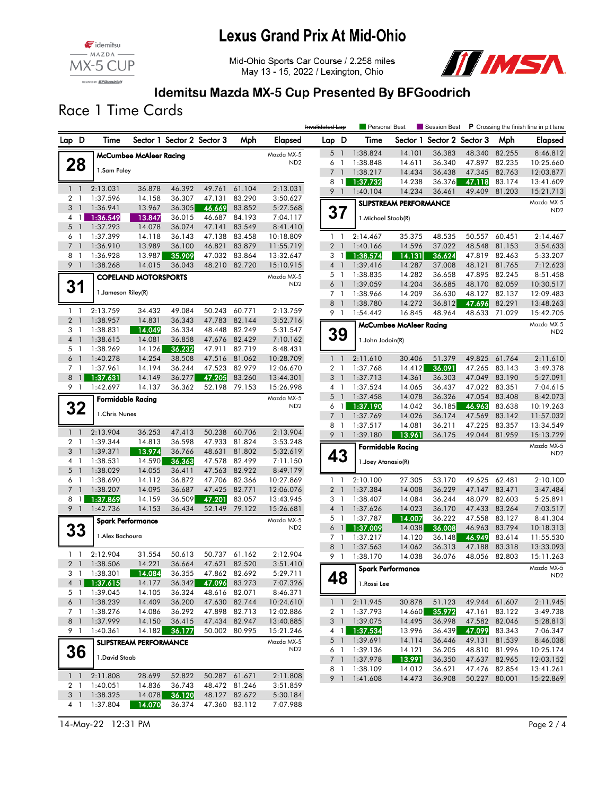

## **Lexus Grand Prix At Mid-Ohio**

Mid-Ohio Sports Car Course / 2.258 miles May 13 - 15, 2022 / Lexington, Ohio



#### Idemitsu Mazda MX-5 Cup Presented By BFGoodrich

Race 1 Time Cards

|                |                |                          |                                |                            |                      |               |                               | Invalidated Lap                  |                  |                      | Personal Best                  | Session Best               |                  |                  | <b>P</b> Crossing the finish line in pit lane |
|----------------|----------------|--------------------------|--------------------------------|----------------------------|----------------------|---------------|-------------------------------|----------------------------------|------------------|----------------------|--------------------------------|----------------------------|------------------|------------------|-----------------------------------------------|
| Lap D          |                | Time                     |                                | Sector 1 Sector 2 Sector 3 |                      | Mph           | Elapsed                       | Lap D                            |                  | Time                 |                                | Sector 1 Sector 2 Sector 3 |                  | Mph              | <b>Elapsed</b>                                |
|                |                |                          | <b>McCumbee McAleer Racing</b> |                            |                      |               | Mazda MX-5                    | 5 <sub>1</sub>                   |                  | 1:38.824             | 14.101                         | 36.383                     | 48.340           | 82.255           | 8:46.812                                      |
| 28             |                |                          |                                |                            |                      |               | ND <sub>2</sub>               | 6 1                              |                  | 1:38.848             | 14.611                         | 36.340                     | 47.897           | 82.235           | 10:25.660                                     |
|                |                | 1.Sam Paley              |                                |                            |                      |               |                               | 7 <sup>7</sup>                   | $\overline{1}$   | 1:38.217             | 14.434                         | 36.438                     | 47.345           | 82.763           | 12:03.877                                     |
|                |                |                          |                                |                            |                      |               |                               | 8                                | $\overline{1}$   | 1:37.732             | 14.238                         | 36.376                     | 47.118           | 83.174           | 13:41.609                                     |
| $1\quad$       |                | 2:13.031                 | 36.878                         | 46.392                     | 49.761               | 61.104        | 2:13.031                      | 9 1                              |                  | 1:40.104             | 14.234                         | 36.461                     | 49.409           | 81.203           | 15:21.713                                     |
| 2 <sub>1</sub> |                | 1:37.596                 | 14.158                         | 36.307                     | 47.131               | 83.290        | 3:50.627                      |                                  |                  |                      | <b>SLIPSTREAM PERFORMANCE</b>  |                            |                  |                  | Mazda MX-5                                    |
| 3 <sup>1</sup> |                | 1:36.941                 | 13.967                         | 36.305                     | 46.669               | 83.852        | 5:27.568                      |                                  | 37               |                      |                                |                            |                  |                  | ND <sub>2</sub>                               |
| 4 1            |                | 1:36.549                 | 13.847                         | 36.015                     | 46.687               | 84.193        | 7:04.117                      |                                  |                  | 1. Michael Staab(R)  |                                |                            |                  |                  |                                               |
| 5 <sub>1</sub> |                | 1:37.293                 | 14.078                         | 36.074                     | 47.141               | 83.549        | 8:41.410                      |                                  |                  |                      |                                |                            |                  |                  |                                               |
| 6              | $\overline{1}$ | 1:37.399                 | 14.118                         | 36.143                     | 47.138               | 83.458        | 10:18.809                     | $1\quad$                         |                  | 2:14.467             | 35.375                         | 48.535                     | 50.557           | 60.451           | 2:14.467                                      |
| 7 <sub>1</sub> |                | 1:36.910                 | 13.989                         | 36.100                     | 46.821               | 83.879        | 11:55.719                     | 2 <sub>1</sub>                   |                  | 1:40.166             | 14.596                         | 37.022                     | 48.548           | 81.153           | 3:54.633                                      |
| 8 1            |                | 1:36.928                 | 13.987                         | 35.909                     | 47.032               | 83.864        | 13:32.647                     |                                  | $3 \mid$         | 1:38.574             | 14.131                         | 36.624                     | 47.819           | 82.463           | 5:33.207                                      |
| 9 1            |                | 1:38.268                 | 14.015                         | 36.043                     |                      | 48.210 82.720 | 15:10.915                     | 4 <sup>1</sup><br>5 <sub>1</sub> |                  | 1:39.416             | 14.287                         | 37.008                     | 48.121           | 81.765<br>82.245 | 7:12.623                                      |
|                |                |                          | <b>COPELAND MOTORSPORTS</b>    |                            |                      |               | Mazda MX-5<br>ND <sub>2</sub> | 6 <sup>1</sup>                   |                  | 1:38.835<br>1:39.059 | 14.282<br>14.204               | 36.658<br>36.685           | 47.895<br>48.170 | 82.059           | 8:51.458<br>10:30.517                         |
| 31             |                | 1. Jameson Riley(R)      |                                |                            |                      |               |                               | $7-1$                            |                  | 1:38.966             | 14.209                         | 36.630                     | 48.127           | 82.137           | 12:09.483                                     |
|                |                |                          |                                |                            |                      |               |                               | 8 1                              |                  | 1:38.780             | 14.272                         | 36.812                     | 47.696           | 82.291           | 13:48.263                                     |
| $1\quad$       |                | 2:13.759                 | 34.432                         | 49.084                     | 50.243               | 60.771        | 2:13.759                      | 9 1                              |                  | 1:54.442             | 16.845                         | 48.964                     | 48.633           | 71.029           | 15:42.705                                     |
| 2 <sub>1</sub> |                | 1:38.957                 | 14.831                         | 36.343                     | 47.783               | 82.144        | 3:52.716                      |                                  |                  |                      |                                |                            |                  |                  | Mazda MX-5                                    |
| 3 1            |                | 1:38.831                 | 14.049                         | 36.334                     | 48.448               | 82.249        | 5:31.547                      |                                  |                  |                      | <b>McCumbee McAleer Racing</b> |                            |                  |                  | ND <sub>2</sub>                               |
| 4 <sup>1</sup> |                | 1:38.615                 | 14.081                         | 36.858                     |                      | 47.676 82.429 | 7:10.162                      |                                  | 39               | 1.John Jodoin(R)     |                                |                            |                  |                  |                                               |
| 5 1            |                | 1:38.269                 | 14.126                         | 36.232                     | 47.911               | 82.719        | 8:48.431                      |                                  |                  |                      |                                |                            |                  |                  |                                               |
| 6 <sup>1</sup> |                | 1:40.278                 | 14.254                         | 38.508                     | 47.516               | 81.062        | 10:28.709                     | $1\quad$                         |                  | 2:11.610             | 30.406                         | 51.379                     | 49.825           | 61.764           | 2:11.610                                      |
| 7 1            |                | 1:37.961                 | 14.194                         | 36.244                     | 47.523               | 82.979        | 12:06.670                     | 2 <sub>1</sub>                   |                  | 1:37.768             | 14.412                         | 36.091                     | 47.265           | 83.143           | 3:49.378                                      |
| $8 \mid 1$     |                | 1:37.631                 | 14.149                         | 36.277                     | 47.205               | 83.260        | 13:44.301                     | 3 <sup>1</sup>                   |                  | 1:37.713             | 14.361                         | 36.303                     | 47.049           | 83.190           | 5:27.091                                      |
| 9 1            |                | 1:42.697                 | 14.137                         | 36.362                     |                      | 52.198 79.153 | 15:26.998                     | 4 <sub>1</sub>                   |                  | 1:37.524             | 14.065                         | 36.437                     | 47.022           | 83.351           | 7:04.615                                      |
|                |                | <b>Formidable Racing</b> |                                |                            |                      |               | Mazda MX-5                    | 5 <sub>1</sub>                   |                  | 1:37.458             | 14.078                         | 36.326                     | 47.054           | 83.408           | 8:42.073                                      |
| 32             |                |                          |                                |                            |                      |               | ND <sub>2</sub>               |                                  | $6 \mid$ 1       | 1:37.190             | 14.042                         | 36.185                     | 46.963           | 83.638           | 10:19.263                                     |
|                |                | 1. Chris Nunes           |                                |                            |                      |               |                               | 7 <sup>1</sup>                   |                  | 1:37.769             | 14.026                         | 36.174                     | 47.569           | 83.142           | 11:57.032                                     |
| $1\quad$       |                | 2:13.904                 | 36.253                         | 47.413                     | 50.238               | 60.706        | 2:13.904                      | 8 1                              |                  | 1:37.517             | 14.081                         | 36.211                     | 47.225           | 83.357           | 13:34.549                                     |
| 2 <sub>1</sub> |                | 1:39.344                 | 14.813                         | 36.598                     | 47.933               | 81.824        | 3:53.248                      | 9 <sub>1</sub>                   |                  | 1:39.180             | 13.961                         | 36.175                     |                  | 49.044 81.959    | 15:13.729                                     |
| 3              | $\overline{1}$ | 1:39.371                 | 13.974                         | 36.766                     | 48.631               | 81.802        | 5:32.619                      |                                  |                  |                      | <b>Formidable Racing</b>       |                            |                  |                  | Mazda MX-5                                    |
| 4 1            |                | 1:38.531                 | 14.590                         | 36.363                     | 47.578               | 82.499        | 7:11.150                      |                                  | 43               | 1. Joey Atanasio(R)  |                                |                            |                  |                  | ND <sub>2</sub>                               |
| $5-1$          |                | 1:38.029                 | 14.055                         | 36.411                     | 47.563               | 82.922        | 8:49.179                      |                                  |                  |                      |                                |                            |                  |                  |                                               |
| 6 1            |                | 1:38.690                 | 14.112                         | 36.872                     | 47.706               | 82.366        | 10:27.869                     | $1\quad$                         |                  | 2:10.100             | 27.305                         | 53.170                     | 49.625           | 62.481           | 2:10.100                                      |
| $7-1$          |                | 1:38.207                 | 14.095                         | 36.687                     | 47.425               | 82.771        | 12:06.076                     | 2 <sub>1</sub>                   |                  | 1:37.384             | 14.008                         | 36.229                     | 47.147           | 83.471           | 3:47.484                                      |
| $8 \mid 1$     |                | 1:37.869                 | 14.159                         | 36.509                     | 47.201               | 83.057        | 13:43.945                     | 3 <sub>1</sub>                   |                  | 1:38.407             | 14.084                         | 36.244                     | 48.079           | 82.603           | 5:25.891                                      |
| 9 <sub>1</sub> |                | 1:42.736                 | 14.153                         | 36.434                     | 52.149               | 79.122        | 15:26.681                     | $4-1$                            |                  | 1:37.626             | 14.023                         | 36.170                     | 47.433           | 83.264           | 7:03.517                                      |
|                |                | <b>Spark Performance</b> |                                |                            |                      |               | Mazda MX-5                    | 5 <sub>1</sub>                   |                  | 1:37.787             | 14.007                         | 36.222                     | 47.558           | 83.127           | 8:41.304                                      |
| 33             |                |                          |                                |                            |                      |               | ND <sub>2</sub>               |                                  | 6 <sub>1</sub>   | 1:37.009             | 14.038                         | 36.008                     | 46.963           | 83.794           | 10:18.313                                     |
|                |                | 1. Alex Bachoura         |                                |                            |                      |               |                               | 7 <sub>1</sub>                   |                  | 1:37.217             | 14.120                         | 36.148                     | 46.949           | 83.614           | 11:55.530                                     |
|                |                |                          |                                |                            |                      |               |                               | 8 <sup>1</sup>                   |                  | 1:37.563             | 14.062                         | 36.313                     | 47.188           | 83.318           | 13:33.093                                     |
| $1\quad$       |                | 2:12.904                 | 31.554                         | 50.613                     |                      | 50.737 61.162 | 2:12.904                      | 9 1                              |                  | 1:38.170             | 14.038                         | 36.076                     | 48.056           | 82.803           | 15:11.263                                     |
| 2 <sub>1</sub> |                | 1:38.506                 | 14.221                         | 36.664                     | 47.621               | 82.520        | 3:51.410                      |                                  |                  |                      | <b>Spark Performance</b>       |                            |                  |                  | Mazda MX-5                                    |
| 31             |                | 1:38.301                 | 14.084                         | 36.355                     | 36.342 47.096 83.273 | 47.862 82.692 | 5:29.711                      |                                  | C<br>48          |                      |                                |                            |                  |                  | ND <sub>2</sub>                               |
|                |                | 4 1 1:37.615             | 14.177                         |                            |                      | 48.616 82.071 | 7:07.326                      |                                  |                  | 1.Rossi Lee          |                                |                            |                  |                  |                                               |
| 5 1<br>6 1     |                | 1:39.045<br>1:38.239     | 14.105<br>14.409               | 36.324<br>36.200           |                      | 47.630 82.744 | 8:46.371<br>10:24.610         |                                  |                  | 2:11.945             | 30.878                         | 51.123                     |                  | 49.944 61.607    | 2:11.945                                      |
| 7 <sup>1</sup> |                | 1:38.276                 | 14.086                         | 36.292                     |                      | 47.898 82.713 | 12:02.886                     |                                  | $1\quad1$<br>2 1 | 1:37.793             | 14.660                         | 35.972                     |                  | 47.161 83.122    | 3:49.738                                      |
| 8 <sup>1</sup> |                | 1:37.999                 | 14.150                         | 36.415                     |                      | 47.434 82.947 | 13:40.885                     |                                  | 3 <sup>1</sup>   | 1:39.075             | 14.495                         | 36.998                     | 47.582           | 82.046           | 5:28.813                                      |
| 9 1            |                | 1:40.361                 | 14.182                         | 36.177                     |                      | 50.002 80.995 | 15:21.246                     |                                  | $4 \mid 1 \mid$  | 1:37.534             | 13.996                         | 36.439                     |                  | 47.099 83.343    | 7:06.347                                      |
|                |                |                          | <b>SLIPSTREAM PERFORMANCE</b>  |                            |                      |               | Mazda MX-5                    |                                  | 5 <sub>1</sub>   | 1:39.691             | 14.114                         | 36.446                     |                  | 49.131 81.539    | 8:46.038                                      |
|                |                |                          |                                |                            |                      |               | ND <sub>2</sub>               |                                  | 6 1              | 1:39.136             | 14.121                         | 36.205                     |                  | 48.810 81.996    | 10:25.174                                     |
| 36             |                | 1. David Staab           |                                |                            |                      |               |                               |                                  | 7 <sup>1</sup>   | 1:37.978             | 13.991                         | 36.350                     |                  | 47.637 82.965    | 12:03.152                                     |
|                |                |                          |                                |                            |                      |               |                               |                                  | 8 1              | 1:38.109             | 14.012                         | 36.621                     |                  | 47.476 82.854    | 13:41.261                                     |
| $1\quad$       |                | 2:11.808                 | 28.699                         | 52.822                     | 50.287 61.671        |               | 2:11.808                      |                                  | 9 1              | 1:41.608             | 14.473                         | 36.908                     |                  | 50.227 80.001    | 15:22.869                                     |
| 2 <sub>1</sub> |                | 1:40.051                 | 14.836                         | 36.743                     |                      | 48.472 81.246 | 3:51.859                      |                                  |                  |                      |                                |                            |                  |                  |                                               |
| 3 <sup>1</sup> |                | 1:38.325                 | 14.078                         | 36.120                     |                      | 48.127 82.672 | 5:30.184                      |                                  |                  |                      |                                |                            |                  |                  |                                               |
|                |                | 4 1 1:37.804             | 14.070                         | 36.374                     |                      | 47.360 83.112 | 7:07.988                      |                                  |                  |                      |                                |                            |                  |                  |                                               |

14-May-22 12:31 PM Page 2 / 4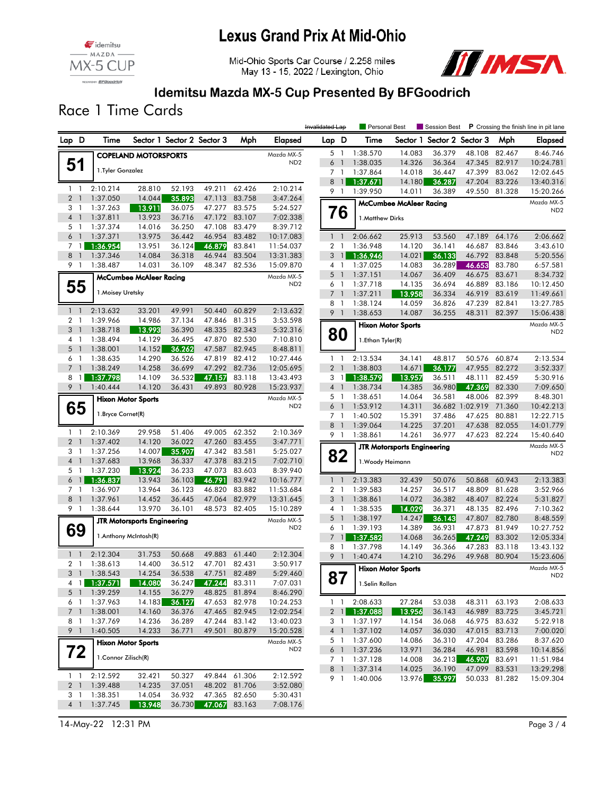



Mid-Ohio Sports Car Course / 2.258 miles May 13 - 15, 2022 / Lexington, Ohio



#### Idemitsu Mazda MX-5 Cup Presented By BFGoodrich

Race 1 Time Cards

|       |                       |                      |                                    |                            |                  |                  | Invalidated Lap               |                | Personal Best  |                      |                                    |                            |                  | Session Best P Crossing the finish line in pit lane |                               |
|-------|-----------------------|----------------------|------------------------------------|----------------------------|------------------|------------------|-------------------------------|----------------|----------------|----------------------|------------------------------------|----------------------------|------------------|-----------------------------------------------------|-------------------------------|
| Lap D |                       | Time                 |                                    | Sector 1 Sector 2 Sector 3 |                  | Mph              | Elapsed                       | Lap D          |                | Time                 |                                    | Sector 1 Sector 2 Sector 3 |                  | Mph                                                 | Elapsed                       |
|       |                       |                      | <b>COPELAND MOTORSPORTS</b>        |                            |                  |                  | Mazda MX-5                    |                | 5 1            | 1:38.570             | 14.083                             | 36.379                     | 48.108           | 82.467                                              | 8:46.746                      |
|       | 51                    |                      |                                    |                            |                  |                  | ND <sub>2</sub>               | 6              | $\overline{1}$ | 1:38.035             | 14.326                             | 36.364                     | 47.345           | 82.917                                              | 10:24.781                     |
|       |                       | 1. Tyler Gonzalez    |                                    |                            |                  |                  |                               | 7 1            |                | 1:37.864             | 14.018                             | 36.447                     | 47.399           | 83.062                                              | 12:02.645                     |
|       |                       |                      |                                    |                            |                  |                  |                               | 8              | $\overline{1}$ | 1:37.671             | 14.180                             | 36.287                     | 47.204           | 83.226                                              | 13:40.316                     |
|       | $1\quad$              | 2:10.214             | 28.810                             | 52.193                     | 49.211           | 62.426           | 2:10.214                      |                | 9 1            | 1:39.950             | 14.011                             | 36.389                     | 49.550           | 81,328                                              | 15:20.266                     |
|       | 2 <sup>1</sup>        | 1:37.050             | 14.044                             | 35.893                     | 47.113           | 83.758           | 3:47.264                      |                |                |                      | <b>McCumbee McAleer Racing</b>     |                            |                  |                                                     | Mazda MX-5                    |
|       | 3 1                   | 1:37.263             | 13.911                             | 36.075                     | 47.277           | 83.575           | 5:24.527                      |                | 76             |                      |                                    |                            |                  |                                                     | ND <sub>2</sub>               |
|       | 4 <sup>1</sup>        | 1:37.811             | 13.923                             | 36.716                     | 47.172           | 83.107           | 7:02.338                      |                |                | 1.Matthew Dirks      |                                    |                            |                  |                                                     |                               |
|       | 5 <sub>1</sub>        | 1:37.374             | 14.016                             | 36.250                     | 47.108           | 83.479           | 8:39.712                      |                |                |                      |                                    |                            |                  |                                                     |                               |
|       | 6 <sup>1</sup>        | 1:37.371             | 13.975                             | 36.442                     | 46.954           | 83.482           | 10:17.083                     |                | $1\quad$       | 2:06.662             | 25.913                             | 53.560                     | 47.189           | 64.176                                              | 2:06.662                      |
|       | $7 \text{ } 11$       | 1:36.954             | 13.951                             | 36.124                     | 46.879           | 83.841           | 11:54.037                     | 2 <sub>1</sub> |                | 1:36.948             | 14.120                             | 36.141<br>36.133           | 46.687           | 83.846                                              | 3:43.610                      |
|       | 8 <sup>1</sup><br>9 1 | 1:37.346<br>1:38.487 | 14.084<br>14.031                   | 36.318<br>36.109           | 46.944<br>48.347 | 83.504<br>82.536 | 13:31.383<br>15:09.870        | 3<br>4 1       | $\overline{1}$ | 1:36.946<br>1:37.025 | 14.021<br>14.083                   | 36.289                     | 46.792<br>46.653 | 83.848<br>83.780                                    | 5:20.556<br>6:57.581          |
|       |                       |                      |                                    |                            |                  |                  |                               | $5-1$          |                | 1:37.151             | 14.067                             | 36.409                     | 46.675           | 83.671                                              | 8:34.732                      |
|       |                       |                      | <b>McCumbee McAleer Racing</b>     |                            |                  |                  | Mazda MX-5<br>ND <sub>2</sub> | 6 1            |                | 1:37.718             | 14.135                             | 36.694                     | 46.889           | 83.186                                              | 10:12.450                     |
|       | 55                    | 1. Moisey Uretsky    |                                    |                            |                  |                  |                               | 7 <sub>1</sub> |                | 1:37.211             | 13.958                             | 36.334                     | 46.919           | 83.619                                              | 11:49.661                     |
|       |                       |                      |                                    |                            |                  |                  |                               | 8              | -1             | 1:38.124             | 14.059                             | 36.826                     | 47.239           | 82.841                                              | 13:27.785                     |
|       | $1\quad$              | 2:13.632             | 33.201                             | 49.991                     | 50.440           | 60.829           | 2:13.632                      |                | 9 <sub>1</sub> | 1:38.653             | 14.087                             | 36.255                     | 48.311           | 82.397                                              | 15:06.438                     |
|       | 2 <sub>1</sub>        | 1:39.966             | 14.986                             | 37.134                     | 47.846           | 81.315           | 3:53.598                      |                |                |                      | <b>Hixon Motor Sports</b>          |                            |                  |                                                     | Mazda MX-5                    |
|       | 3 <sup>1</sup>        | 1:38.718             | 13.993                             | 36.390                     |                  | 48.335 82.343    | 5:32.316                      |                | 80             |                      |                                    |                            |                  |                                                     | ND <sub>2</sub>               |
|       | $4-1$                 | 1:38.494             | 14.129                             | 36.495                     | 47.870           | 82.530           | 7:10.810                      |                |                | 1.Ethan Tyler(R)     |                                    |                            |                  |                                                     |                               |
|       | $5-1$                 | 1:38.001             | 14.152                             | 36.262                     | 47.587           | 82.945           | 8:48.811                      |                |                |                      |                                    |                            |                  |                                                     |                               |
|       | 6 1                   | 1:38.635             | 14.290                             | 36.526                     | 47.819           | 82.412           | 10:27.446                     |                | 1 <sub>1</sub> | 2:13.534             | 34.141                             | 48.817                     | 50.576           | 60.874                                              | 2:13.534                      |
|       | 7 <sup>1</sup>        | 1:38.249             | 14.258                             | 36.699                     | 47.292           | 82.736           | 12:05.695                     |                | 2 <sub>1</sub> | 1:38.803             | 14.671                             | 36.177                     | 47.955           | 82.272                                              | 3:52.337                      |
| 8     | $\overline{1}$        | 1:37.798             | 14.109                             | 36.532                     | 47.157           | 83.118           | 13:43.493                     | 3 <sub>1</sub> |                | 1:38.579             | 13.957                             | 36.511                     | 48.111           | 82.459                                              | 5:30.916                      |
|       | 9 1                   | 1:40.444             | 14.120                             | 36.431                     | 49.893           | 80.928           | 15:23.937                     | $4-1$          |                | 1:38.734             | 14.385                             | 36.980                     | 47.369           | 82.330                                              | 7:09.650                      |
|       |                       |                      | <b>Hixon Motor Sports</b>          |                            |                  |                  | Mazda MX-5                    | 5 1            |                | 1:38.651             | 14.064                             | 36.581                     | 48.006           | 82.399                                              | 8:48.301                      |
|       | 65                    | 1. Bryce Cornet(R)   |                                    |                            |                  |                  | ND <sub>2</sub>               | $6-1$          |                | 1:53.912             | 14.311                             |                            | 36.682 1:02.919  | 71.360                                              | 10:42.213                     |
|       |                       |                      |                                    |                            |                  |                  |                               | 8 1            | 7 1            | 1:40.502             | 15.391                             | 37.486<br>37.201           | 47.625           | 80.881<br>82.055                                    | 12:22.715                     |
|       | $1 \quad 1$           | 2:10.369             | 29.958                             | 51.406                     | 49.005           | 62.352           | 2:10.369                      | 9 1            |                | 1:39.064<br>1:38.861 | 14.225<br>14.261                   | 36.977                     | 47.638<br>47.623 | 82.224                                              | 14:01.779<br>15:40.640        |
|       | 2 <sub>1</sub>        | 1:37.402             | 14.120                             | 36.022                     | 47.260           | 83.455           | 3:47.771                      |                |                |                      |                                    |                            |                  |                                                     |                               |
|       | 3 <sub>1</sub>        | 1:37.256             | 14.007                             | 35.907                     | 47.342 83.581    |                  | 5:25.027                      |                |                |                      | <b>JTR Motorsports Engineering</b> |                            |                  |                                                     | Mazda MX-5<br>ND <sub>2</sub> |
|       | 4 <sub>1</sub>        | 1:37.683             | 13.968                             | 36.337                     | 47.378           | 83.215           | 7:02.710                      |                | 82             | 1. Woody Heimann     |                                    |                            |                  |                                                     |                               |
|       | 5 <sub>1</sub>        | 1:37.230             | 13.924                             | 36.233                     | 47.073           | 83.603           | 8:39.940                      |                |                |                      |                                    |                            |                  |                                                     |                               |
|       | 6 <sub>1</sub>        | 1:36.837             | 13.943                             | 36.103                     | 46.791           | 83.942           | 10:16.777                     |                | $1\quad$       | 2:13.383             | 32.439                             | 50.076                     | 50.868           | 60.943                                              | 2:13.383                      |
|       | 7 <sub>1</sub>        | 1:36.907             | 13.964                             | 36.123                     | 46.820           | 83.882           | 11:53.684                     | 2 <sub>1</sub> |                | 1:39.583             | 14.257                             | 36.517                     | 48.809           | 81.628                                              | 3:52.966                      |
|       | 8 <sup>1</sup>        | 1:37.961             | 14.452                             | 36.445                     | 47.064           | 82.979           | 13:31.645                     | 3 <sup>1</sup> |                | 1:38.861             | 14.072                             | 36.382                     | 48.407           | 82.224                                              | 5:31.827                      |
|       | 9 1                   | 1:38.644             | 13.970                             | 36.101                     | 48.573           | 82.405           | 15:10.289                     |                | 4 1            | 1:38.535             | 14.029                             | 36.371                     | 48.135           | 82.496                                              | 7:10.362                      |
|       |                       |                      | <b>JTR Motorsports Engineering</b> |                            |                  |                  | Mazda MX-5                    |                | 5 <sub>1</sub> | 1:38.197             | 14.247                             | 36.143                     | 47.807           | 82.780                                              | 8:48.559                      |
|       | 69                    |                      | 1.Anthony McIntosh(R)              |                            |                  |                  | ND <sub>2</sub>               | 6 <sub>1</sub> |                | 1:39.193             | 14.389                             | 36.931                     | 47.873           | 81.949                                              | 10:27.752                     |
|       |                       |                      |                                    |                            |                  |                  |                               | $\overline{7}$ | $\mathbf{1}$   | 1:37.582             | 14.068                             | 36.265                     | 47.249           | 83.302                                              | 12:05.334                     |
|       | $1\quad$              | 2:12.304             | 31.753                             | 50.668                     | 49.883           | 61.440           | 2:12.304                      | 8              | - 1            | 1:37.798             | 14.149                             | 36.366                     | 47.283           | 83.118                                              | 13:43.132                     |
|       | 2 <sub>1</sub>        | 1:38.613             | 14,400                             | 36.512                     | 47.701           | 82.431           | 3:50.917                      | 9              | $\overline{1}$ | 1:40.474             | 14.210                             | 36.296                     | 49.968           | 80.904                                              | 15:23.606                     |
|       |                       | 3 1 1:38.543         | 14.254                             | 36.538                     | 47.751 82.489    |                  | 5:29.460                      |                |                |                      | <b>Hixon Motor Sports</b>          |                            |                  |                                                     | Mazda MX-5                    |
|       |                       | 4 1 1:37.571         | 14.080                             | 36.247                     | 47.244 83.311    |                  | 7:07.031                      | ୪7             |                | 1.Selin Rollan       |                                    |                            |                  |                                                     | NDZ.                          |
|       | 5 <sub>1</sub>        | 1:39.259             | 14.155                             | 36.279                     | 48.825           | 81.894           | 8:46.290                      |                |                |                      |                                    |                            |                  |                                                     |                               |
|       | 6 1                   | 1:37.963             | 14.183                             | 36.127                     |                  | 47.653 82.978    | 10:24.253                     |                | $1\quad1$      | 2:08.633             | 27.284                             | 53.038                     |                  | 48.311 63.193                                       | 2:08.633                      |
|       | $7-1$                 | 1:38.001             | 14.160                             | 36.376                     |                  | 47.465 82.945    | 12:02.254                     |                | 2 <sub>1</sub> | 1:37.088             | 13.956                             | 36.143                     |                  | 46.989 83.725                                       | 3:45.721                      |
|       | 8 1                   | 1:37.769             | 14.236                             | 36.289                     |                  | 47.244 83.142    | 13:40.023                     |                | 3 1            | 1:37.197             | 14.154                             | 36.068                     |                  | 46.975 83.632                                       | 5:22.918                      |
|       | 9 <sub>1</sub>        | 1:40.505             | 14.233                             | 36.771                     |                  | 49.501 80.879    | 15:20.528                     |                | 4 1            | 1:37.102             | 14.057                             | 36.030                     |                  | 47.015 83.713                                       | 7:00.020                      |
|       |                       |                      | <b>Hixon Motor Sports</b>          |                            |                  |                  | Mazda MX-5                    |                | 5 1            | 1:37.600             | 14.086                             | 36.310                     | 47.204           | 83.286                                              | 8:37.620                      |
|       | 72                    |                      |                                    |                            |                  |                  | ND <sub>2</sub>               |                | 6 1            | 1:37.236             | 13.971                             | 36.284                     |                  | 46.981 83.598                                       | 10:14.856                     |
|       |                       | 1. Connor Zilisch(R) |                                    |                            |                  |                  |                               |                | $7-1$          | 1:37.128             | 14.008                             | 36.213                     | 46.907           | 83.691                                              | 11:51.984                     |
|       | $1\quad1$             | 2:12.592             | 32.421                             | 50.327                     |                  | 49.844 61.306    | 2:12.592                      |                | 8 1            | 1:37.314             | 14.025                             | 36.190                     |                  | 47.099 83.531                                       | 13:29.298                     |
|       | 2 <sub>1</sub>        | 1:39.488             | 14.235                             | 37.051                     |                  | 48.202 81.706    | 3:52.080                      |                | 9 1            | 1:40.006             |                                    | 13.976 35.997              |                  | 50.033 81.282                                       | 15:09.304                     |
|       | 3 1                   | 1:38.351             | 14.054                             | 36.932                     |                  | 47.365 82.650    | 5:30.431                      |                |                |                      |                                    |                            |                  |                                                     |                               |
|       | $4 \quad 1$           | 1:37.745             | 13.948                             | 36.730                     | 47.067 83.163    |                  | 7:08.176                      |                |                |                      |                                    |                            |                  |                                                     |                               |
|       |                       |                      |                                    |                            |                  |                  |                               |                |                |                      |                                    |                            |                  |                                                     |                               |

14-May-22 12:31 PM Page 3 / 4